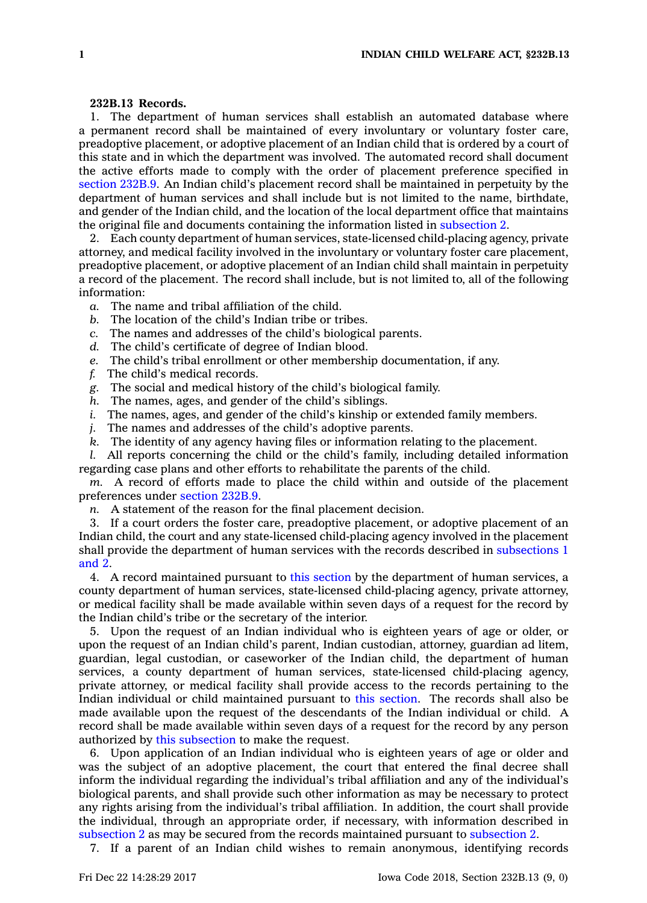## **232B.13 Records.**

1. The department of human services shall establish an automated database where <sup>a</sup> permanent record shall be maintained of every involuntary or voluntary foster care, preadoptive placement, or adoptive placement of an Indian child that is ordered by <sup>a</sup> court of this state and in which the department was involved. The automated record shall document the active efforts made to comply with the order of placement preference specified in [section](https://www.legis.iowa.gov/docs/code/232B.9.pdf) 232B.9. An Indian child's placement record shall be maintained in perpetuity by the department of human services and shall include but is not limited to the name, birthdate, and gender of the Indian child, and the location of the local department office that maintains the original file and documents containing the information listed in [subsection](https://www.legis.iowa.gov/docs/code/232B.13.pdf) 2.

2. Each county department of human services, state-licensed child-placing agency, private attorney, and medical facility involved in the involuntary or voluntary foster care placement, preadoptive placement, or adoptive placement of an Indian child shall maintain in perpetuity <sup>a</sup> record of the placement. The record shall include, but is not limited to, all of the following information:

- *a.* The name and tribal affiliation of the child.
- *b.* The location of the child's Indian tribe or tribes.
- *c.* The names and addresses of the child's biological parents.
- *d.* The child's certificate of degree of Indian blood.
- *e.* The child's tribal enrollment or other membership documentation, if any.
- *f.* The child's medical records.
- *g.* The social and medical history of the child's biological family.
- *h.* The names, ages, and gender of the child's siblings.
- *i.* The names, ages, and gender of the child's kinship or extended family members.
- *j.* The names and addresses of the child's adoptive parents.
- *k.* The identity of any agency having files or information relating to the placement.

*l.* All reports concerning the child or the child's family, including detailed information regarding case plans and other efforts to rehabilitate the parents of the child.

*m.* A record of efforts made to place the child within and outside of the placement preferences under [section](https://www.legis.iowa.gov/docs/code/232B.9.pdf) 232B.9.

*n.* A statement of the reason for the final placement decision.

3. If <sup>a</sup> court orders the foster care, preadoptive placement, or adoptive placement of an Indian child, the court and any state-licensed child-placing agency involved in the placement shall provide the department of human services with the records described in [subsections](https://www.legis.iowa.gov/docs/code/232B.13.pdf) 1 [and](https://www.legis.iowa.gov/docs/code/232B.13.pdf) 2.

4. A record maintained pursuant to this [section](https://www.legis.iowa.gov/docs/code/232B.13.pdf) by the department of human services, <sup>a</sup> county department of human services, state-licensed child-placing agency, private attorney, or medical facility shall be made available within seven days of <sup>a</sup> request for the record by the Indian child's tribe or the secretary of the interior.

5. Upon the request of an Indian individual who is eighteen years of age or older, or upon the request of an Indian child's parent, Indian custodian, attorney, guardian ad litem, guardian, legal custodian, or caseworker of the Indian child, the department of human services, <sup>a</sup> county department of human services, state-licensed child-placing agency, private attorney, or medical facility shall provide access to the records pertaining to the Indian individual or child maintained pursuant to this [section](https://www.legis.iowa.gov/docs/code/232B.13.pdf). The records shall also be made available upon the request of the descendants of the Indian individual or child. A record shall be made available within seven days of <sup>a</sup> request for the record by any person authorized by this [subsection](https://www.legis.iowa.gov/docs/code/232B.13.pdf) to make the request.

6. Upon application of an Indian individual who is eighteen years of age or older and was the subject of an adoptive placement, the court that entered the final decree shall inform the individual regarding the individual's tribal affiliation and any of the individual's biological parents, and shall provide such other information as may be necessary to protect any rights arising from the individual's tribal affiliation. In addition, the court shall provide the individual, through an appropriate order, if necessary, with information described in [subsection](https://www.legis.iowa.gov/docs/code/232B.13.pdf) 2 as may be secured from the records maintained pursuant to [subsection](https://www.legis.iowa.gov/docs/code/232B.13.pdf) 2.

7. If <sup>a</sup> parent of an Indian child wishes to remain anonymous, identifying records